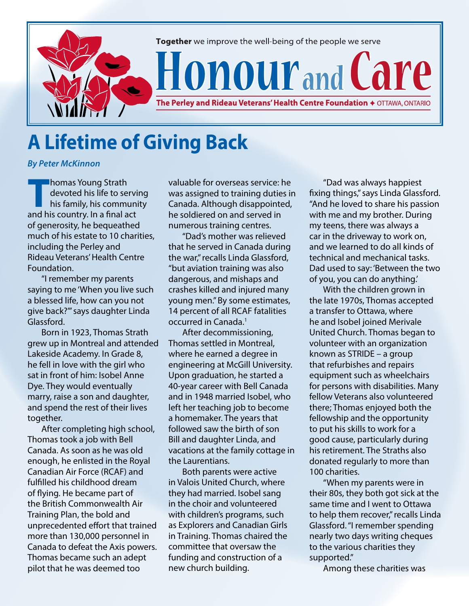

## **A Lifetime of Giving Back**

*By Peter McKinnon*

**Thomas Young Strath<br>devoted his life to se<br>his family, his community<br>and his country. In a final a** devoted his life to serving his family, his community and his country. In a final act of generosity, he bequeathed much of his estate to 10 charities, including the Perley and Rideau Veterans' Health Centre Foundation.

"I remember my parents saying to me 'When you live such a blessed life, how can you not give back?'" says daughter Linda Glassford.

Born in 1923, Thomas Strath grew up in Montreal and attended Lakeside Academy. In Grade 8, he fell in love with the girl who sat in front of him: Isobel Anne Dye. They would eventually marry, raise a son and daughter, and spend the rest of their lives together.

After completing high school, Thomas took a job with Bell Canada. As soon as he was old enough, he enlisted in the Royal Canadian Air Force (RCAF) and fulfilled his childhood dream of flying. He became part of the British Commonwealth Air Training Plan, the bold and unprecedented effort that trained more than 130,000 personnel in Canada to defeat the Axis powers. Thomas became such an adept pilot that he was deemed too

valuable for overseas service: he was assigned to training duties in Canada. Although disappointed, he soldiered on and served in numerous training centres.

"Dad's mother was relieved that he served in Canada during the war," recalls Linda Glassford, "but aviation training was also dangerous, and mishaps and crashes killed and injured many young men." By some estimates, 14 percent of all RCAF fatalities occurred in Canada.<sup>1</sup>

After decommissioning, Thomas settled in Montreal, where he earned a degree in engineering at McGill University. Upon graduation, he started a 40-year career with Bell Canada and in 1948 married Isobel, who left her teaching job to become a homemaker. The years that followed saw the birth of son Bill and daughter Linda, and vacations at the family cottage in the Laurentians.

Both parents were active in Valois United Church, where they had married. Isobel sang in the choir and volunteered with children's programs, such as Explorers and Canadian Girls in Training. Thomas chaired the committee that oversaw the funding and construction of a new church building.

"Dad was always happiest fixing things," says Linda Glassford. "And he loved to share his passion with me and my brother. During my teens, there was always a car in the driveway to work on, and we learned to do all kinds of technical and mechanical tasks. Dad used to say: 'Between the two of you, you can do anything.'

With the children grown in the late 1970s, Thomas accepted a transfer to Ottawa, where he and Isobel joined Merivale United Church. Thomas began to volunteer with an organization known as STRIDE – a group that refurbishes and repairs equipment such as wheelchairs for persons with disabilities. Many fellow Veterans also volunteered there; Thomas enjoyed both the fellowship and the opportunity to put his skills to work for a good cause, particularly during his retirement. The Straths also donated regularly to more than 100 charities.

"When my parents were in their 80s, they both got sick at the same time and I went to Ottawa to help them recover," recalls Linda Glassford. "I remember spending nearly two days writing cheques to the various charities they supported."

Among these charities was